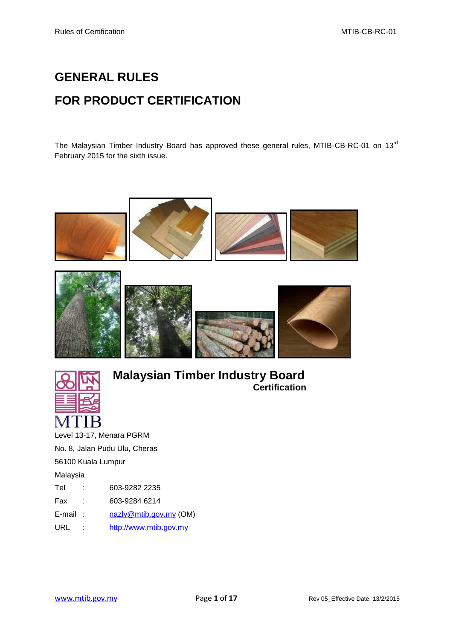# **GENERAL RULES FOR PRODUCT CERTIFICATION**

The Malaysian Timber Industry Board has approved these general rules, MTIB-CB-RC-01 on 13<sup>rd</sup> February 2015 for the sixth issue.







## **Malaysian Timber Industry Board Certification**

Level 13-17, Menara PGRM No. 8, Jalan Pudu Ulu, Cheras 56100 Kuala Lumpur Malaysia Tel : 603-9282 2235 Fax : 603-9284 6214 E-mail : [nazly@mtib.gov.my](mailto:nazly@mtib.gov.my) (OM) URL : [http://www.mtib.gov.my](http://www.mtib.gov.my/)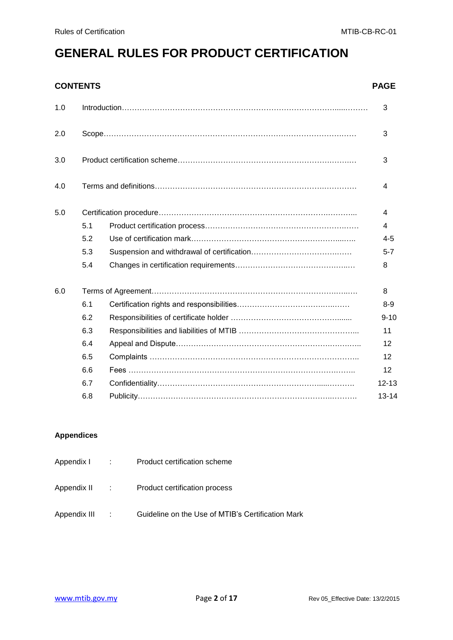# **GENERAL RULES FOR PRODUCT CERTIFICATION**

### **CONTENTS PAGE**

| 5.1 |  | 4         |  |  |  |  |
|-----|--|-----------|--|--|--|--|
| 5.2 |  | $4 - 5$   |  |  |  |  |
| 5.3 |  | $5 - 7$   |  |  |  |  |
| 5.4 |  |           |  |  |  |  |
|     |  |           |  |  |  |  |
| 6.1 |  | $8-9$     |  |  |  |  |
| 6.2 |  | $9 - 10$  |  |  |  |  |
| 6.3 |  | 11        |  |  |  |  |
| 6.4 |  | 12        |  |  |  |  |
| 6.5 |  | 12        |  |  |  |  |
| 6.6 |  | 12        |  |  |  |  |
| 6.7 |  | $12 - 13$ |  |  |  |  |
| 6.8 |  | $13 - 14$ |  |  |  |  |
|     |  |           |  |  |  |  |

#### **Appendices**

| Appendix I :          | Product certification scheme                      |
|-----------------------|---------------------------------------------------|
| Appendix II : : : : : | Product certification process                     |
| Appendix III :        | Guideline on the Use of MTIB's Certification Mark |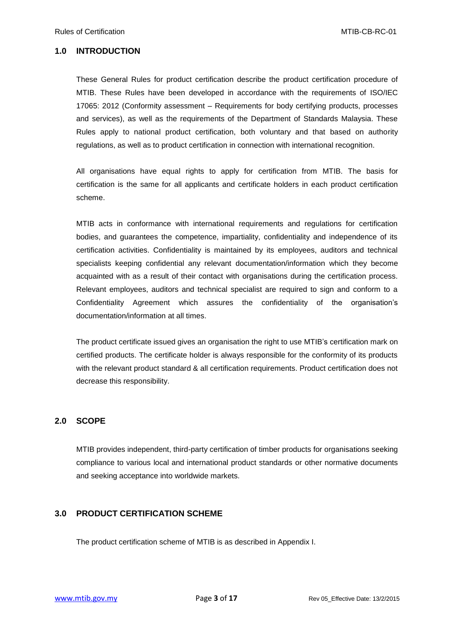#### **1.0 INTRODUCTION**

These General Rules for product certification describe the product certification procedure of MTIB. These Rules have been developed in accordance with the requirements of ISO/IEC 17065: 2012 (Conformity assessment – Requirements for body certifying products, processes and services), as well as the requirements of the Department of Standards Malaysia. These Rules apply to national product certification, both voluntary and that based on authority regulations, as well as to product certification in connection with international recognition.

All organisations have equal rights to apply for certification from MTIB. The basis for certification is the same for all applicants and certificate holders in each product certification scheme.

MTIB acts in conformance with international requirements and regulations for certification bodies, and guarantees the competence, impartiality, confidentiality and independence of its certification activities. Confidentiality is maintained by its employees, auditors and technical specialists keeping confidential any relevant documentation/information which they become acquainted with as a result of their contact with organisations during the certification process. Relevant employees, auditors and technical specialist are required to sign and conform to a Confidentiality Agreement which assures the confidentiality of the organisation's documentation/information at all times.

The product certificate issued gives an organisation the right to use MTIB's certification mark on certified products. The certificate holder is always responsible for the conformity of its products with the relevant product standard & all certification requirements. Product certification does not decrease this responsibility.

#### **2.0 SCOPE**

MTIB provides independent, third-party certification of timber products for organisations seeking compliance to various local and international product standards or other normative documents and seeking acceptance into worldwide markets.

#### **3.0 PRODUCT CERTIFICATION SCHEME**

The product certification scheme of MTIB is as described in Appendix I.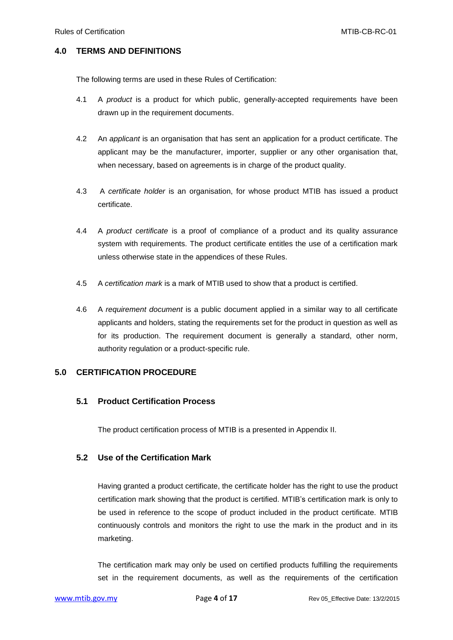#### **4.0 TERMS AND DEFINITIONS**

The following terms are used in these Rules of Certification:

- 4.1 A *product* is a product for which public, generally-accepted requirements have been drawn up in the requirement documents.
- 4.2 An *applicant* is an organisation that has sent an application for a product certificate. The applicant may be the manufacturer, importer, supplier or any other organisation that, when necessary, based on agreements is in charge of the product quality.
- 4.3 A *certificate holder* is an organisation, for whose product MTIB has issued a product certificate.
- 4.4 A *product certificate* is a proof of compliance of a product and its quality assurance system with requirements. The product certificate entitles the use of a certification mark unless otherwise state in the appendices of these Rules.
- 4.5 A *certification mark* is a mark of MTIB used to show that a product is certified.
- 4.6 A *requirement document* is a public document applied in a similar way to all certificate applicants and holders, stating the requirements set for the product in question as well as for its production. The requirement document is generally a standard, other norm, authority regulation or a product-specific rule.

#### **5.0 CERTIFICATION PROCEDURE**

#### **5.1 Product Certification Process**

The product certification process of MTIB is a presented in Appendix II.

#### **5.2 Use of the Certification Mark**

Having granted a product certificate, the certificate holder has the right to use the product certification mark showing that the product is certified. MTIB's certification mark is only to be used in reference to the scope of product included in the product certificate. MTIB continuously controls and monitors the right to use the mark in the product and in its marketing.

The certification mark may only be used on certified products fulfilling the requirements set in the requirement documents, as well as the requirements of the certification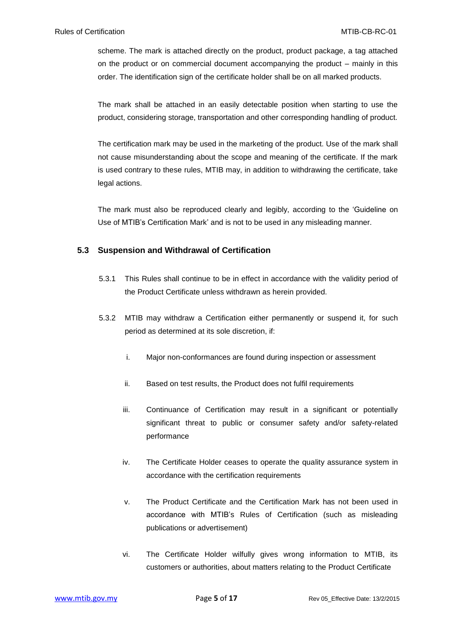scheme. The mark is attached directly on the product, product package, a tag attached on the product or on commercial document accompanying the product – mainly in this order. The identification sign of the certificate holder shall be on all marked products.

The mark shall be attached in an easily detectable position when starting to use the product, considering storage, transportation and other corresponding handling of product.

The certification mark may be used in the marketing of the product. Use of the mark shall not cause misunderstanding about the scope and meaning of the certificate. If the mark is used contrary to these rules, MTIB may, in addition to withdrawing the certificate, take legal actions.

The mark must also be reproduced clearly and legibly, according to the 'Guideline on Use of MTIB's Certification Mark' and is not to be used in any misleading manner.

#### **5.3 Suspension and Withdrawal of Certification**

- 5.3.1 This Rules shall continue to be in effect in accordance with the validity period of the Product Certificate unless withdrawn as herein provided.
- 5.3.2 MTIB may withdraw a Certification either permanently or suspend it, for such period as determined at its sole discretion, if:
	- i. Major non-conformances are found during inspection or assessment
	- ii. Based on test results, the Product does not fulfil requirements
	- iii. Continuance of Certification may result in a significant or potentially significant threat to public or consumer safety and/or safety-related performance
	- iv. The Certificate Holder ceases to operate the quality assurance system in accordance with the certification requirements
	- v. The Product Certificate and the Certification Mark has not been used in accordance with MTIB's Rules of Certification (such as misleading publications or advertisement)
	- vi. The Certificate Holder wilfully gives wrong information to MTIB, its customers or authorities, about matters relating to the Product Certificate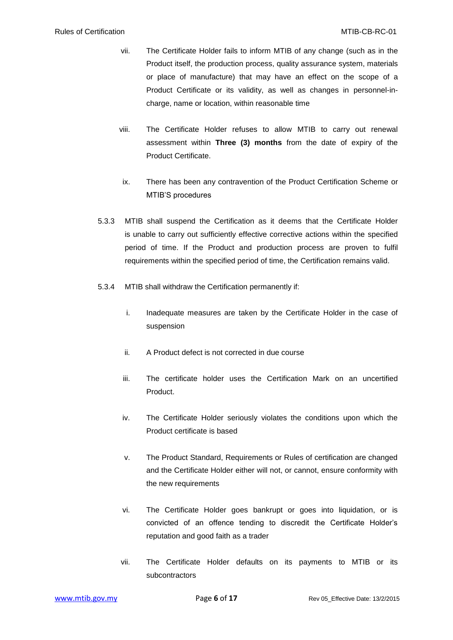- vii. The Certificate Holder fails to inform MTIB of any change (such as in the Product itself, the production process, quality assurance system, materials or place of manufacture) that may have an effect on the scope of a Product Certificate or its validity, as well as changes in personnel-incharge, name or location, within reasonable time
- viii. The Certificate Holder refuses to allow MTIB to carry out renewal assessment within **Three (3) months** from the date of expiry of the Product Certificate.
- ix. There has been any contravention of the Product Certification Scheme or MTIB'S procedures
- 5.3.3 MTIB shall suspend the Certification as it deems that the Certificate Holder is unable to carry out sufficiently effective corrective actions within the specified period of time. If the Product and production process are proven to fulfil requirements within the specified period of time, the Certification remains valid.
- 5.3.4 MTIB shall withdraw the Certification permanently if:
	- i. Inadequate measures are taken by the Certificate Holder in the case of suspension
	- ii. A Product defect is not corrected in due course
	- iii. The certificate holder uses the Certification Mark on an uncertified Product.
	- iv. The Certificate Holder seriously violates the conditions upon which the Product certificate is based
	- v. The Product Standard, Requirements or Rules of certification are changed and the Certificate Holder either will not, or cannot, ensure conformity with the new requirements
	- vi. The Certificate Holder goes bankrupt or goes into liquidation, or is convicted of an offence tending to discredit the Certificate Holder's reputation and good faith as a trader
	- vii. The Certificate Holder defaults on its payments to MTIB or its subcontractors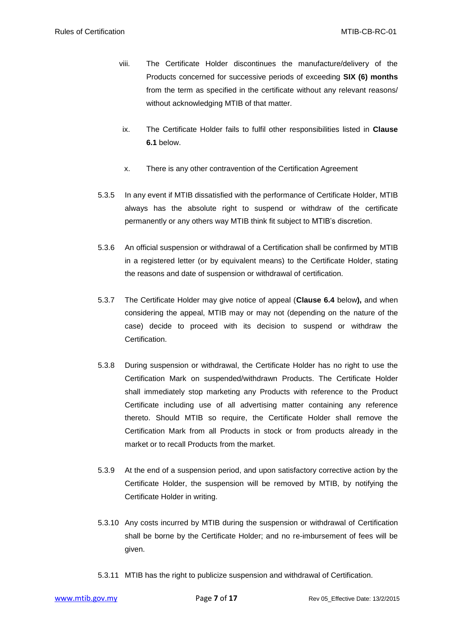- viii. The Certificate Holder discontinues the manufacture/delivery of the Products concerned for successive periods of exceeding **SIX (6) months**  from the term as specified in the certificate without any relevant reasons/ without acknowledging MTIB of that matter.
- ix. The Certificate Holder fails to fulfil other responsibilities listed in **Clause 6.1** below.
- x. There is any other contravention of the Certification Agreement
- 5.3.5 In any event if MTIB dissatisfied with the performance of Certificate Holder, MTIB always has the absolute right to suspend or withdraw of the certificate permanently or any others way MTIB think fit subject to MTIB's discretion.
- 5.3.6 An official suspension or withdrawal of a Certification shall be confirmed by MTIB in a registered letter (or by equivalent means) to the Certificate Holder, stating the reasons and date of suspension or withdrawal of certification.
- 5.3.7 The Certificate Holder may give notice of appeal (**Clause 6.4** below**),** and when considering the appeal, MTIB may or may not (depending on the nature of the case) decide to proceed with its decision to suspend or withdraw the **Certification**
- 5.3.8 During suspension or withdrawal, the Certificate Holder has no right to use the Certification Mark on suspended/withdrawn Products. The Certificate Holder shall immediately stop marketing any Products with reference to the Product Certificate including use of all advertising matter containing any reference thereto. Should MTIB so require, the Certificate Holder shall remove the Certification Mark from all Products in stock or from products already in the market or to recall Products from the market.
- 5.3.9 At the end of a suspension period, and upon satisfactory corrective action by the Certificate Holder, the suspension will be removed by MTIB, by notifying the Certificate Holder in writing.
- 5.3.10 Any costs incurred by MTIB during the suspension or withdrawal of Certification shall be borne by the Certificate Holder; and no re-imbursement of fees will be given.
- 5.3.11 MTIB has the right to publicize suspension and withdrawal of Certification.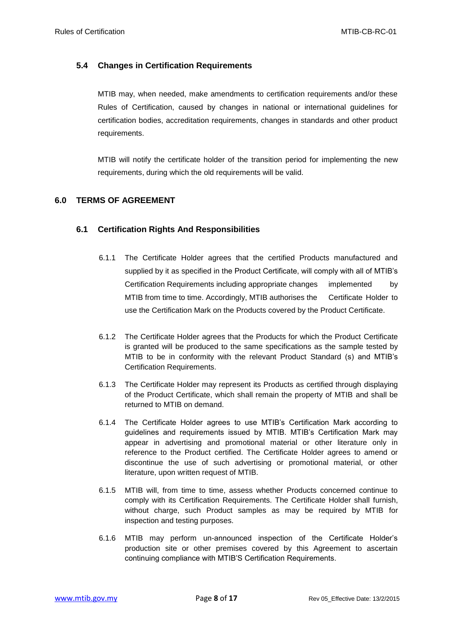#### **5.4 Changes in Certification Requirements**

MTIB may, when needed, make amendments to certification requirements and/or these Rules of Certification, caused by changes in national or international guidelines for certification bodies, accreditation requirements, changes in standards and other product requirements.

MTIB will notify the certificate holder of the transition period for implementing the new requirements, during which the old requirements will be valid.

#### **6.0 TERMS OF AGREEMENT**

#### **6.1 Certification Rights And Responsibilities**

- 6.1.1 The Certificate Holder agrees that the certified Products manufactured and supplied by it as specified in the Product Certificate, will comply with all of MTIB's Certification Requirements including appropriate changes implemented by MTIB from time to time. Accordingly, MTIB authorises the Certificate Holder to use the Certification Mark on the Products covered by the Product Certificate.
- 6.1.2 The Certificate Holder agrees that the Products for which the Product Certificate is granted will be produced to the same specifications as the sample tested by MTIB to be in conformity with the relevant Product Standard (s) and MTIB's Certification Requirements.
- 6.1.3 The Certificate Holder may represent its Products as certified through displaying of the Product Certificate, which shall remain the property of MTIB and shall be returned to MTIB on demand.
- 6.1.4 The Certificate Holder agrees to use MTIB's Certification Mark according to guidelines and requirements issued by MTIB. MTIB's Certification Mark may appear in advertising and promotional material or other literature only in reference to the Product certified. The Certificate Holder agrees to amend or discontinue the use of such advertising or promotional material, or other literature, upon written request of MTIB.
- 6.1.5 MTIB will, from time to time, assess whether Products concerned continue to comply with its Certification Requirements. The Certificate Holder shall furnish, without charge, such Product samples as may be required by MTIB for inspection and testing purposes.
- 6.1.6 MTIB may perform un-announced inspection of the Certificate Holder's production site or other premises covered by this Agreement to ascertain continuing compliance with MTIB'S Certification Requirements.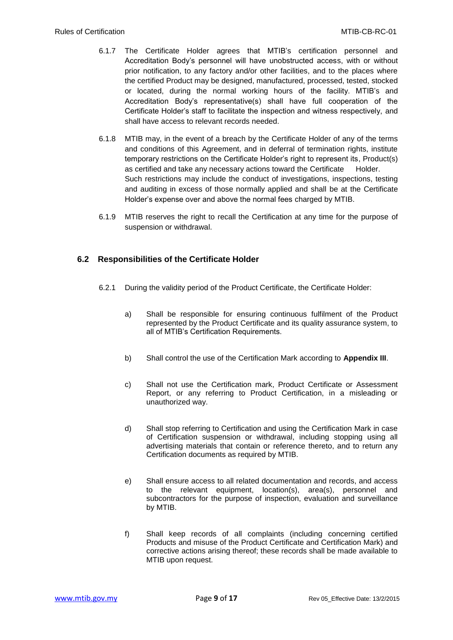- 6.1.7 The Certificate Holder agrees that MTIB's certification personnel and Accreditation Body's personnel will have unobstructed access, with or without prior notification, to any factory and/or other facilities, and to the places where the certified Product may be designed, manufactured, processed, tested, stocked or located, during the normal working hours of the facility. MTIB's and Accreditation Body's representative(s) shall have full cooperation of the Certificate Holder's staff to facilitate the inspection and witness respectively, and shall have access to relevant records needed.
- 6.1.8 MTIB may, in the event of a breach by the Certificate Holder of any of the terms and conditions of this Agreement, and in deferral of termination rights, institute temporary restrictions on the Certificate Holder's right to represent its, Product(s) as certified and take any necessary actions toward the Certificate Holder. Such restrictions may include the conduct of investigations, inspections, testing and auditing in excess of those normally applied and shall be at the Certificate Holder's expense over and above the normal fees charged by MTIB.
- 6.1.9 MTIB reserves the right to recall the Certification at any time for the purpose of suspension or withdrawal.

#### **6.2 Responsibilities of the Certificate Holder**

- 6.2.1 During the validity period of the Product Certificate, the Certificate Holder:
	- a) Shall be responsible for ensuring continuous fulfilment of the Product represented by the Product Certificate and its quality assurance system, to all of MTIB's Certification Requirements.
	- b) Shall control the use of the Certification Mark according to **Appendix III**.
	- c) Shall not use the Certification mark, Product Certificate or Assessment Report, or any referring to Product Certification, in a misleading or unauthorized way.
	- d) Shall stop referring to Certification and using the Certification Mark in case of Certification suspension or withdrawal, including stopping using all advertising materials that contain or reference thereto, and to return any Certification documents as required by MTIB.
	- e) Shall ensure access to all related documentation and records, and access to the relevant equipment, location(s), area(s), personnel and subcontractors for the purpose of inspection, evaluation and surveillance by MTIB.
	- f) Shall keep records of all complaints (including concerning certified Products and misuse of the Product Certificate and Certification Mark) and corrective actions arising thereof; these records shall be made available to MTIB upon request.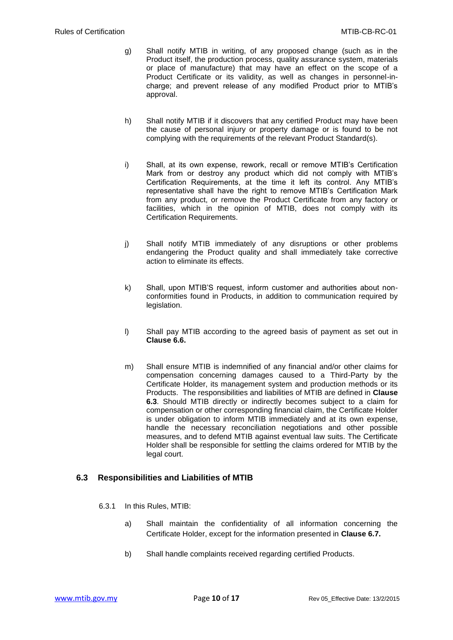- g) Shall notify MTIB in writing, of any proposed change (such as in the Product itself, the production process, quality assurance system, materials or place of manufacture) that may have an effect on the scope of a Product Certificate or its validity, as well as changes in personnel-incharge; and prevent release of any modified Product prior to MTIB's approval.
- h) Shall notify MTIB if it discovers that any certified Product may have been the cause of personal injury or property damage or is found to be not complying with the requirements of the relevant Product Standard(s).
- i) Shall, at its own expense, rework, recall or remove MTIB's Certification Mark from or destroy any product which did not comply with MTIB's Certification Requirements, at the time it left its control. Any MTIB's representative shall have the right to remove MTIB's Certification Mark from any product, or remove the Product Certificate from any factory or facilities, which in the opinion of MTIB, does not comply with its Certification Requirements.
- j) Shall notify MTIB immediately of any disruptions or other problems endangering the Product quality and shall immediately take corrective action to eliminate its effects.
- k) Shall, upon MTIB'S request, inform customer and authorities about nonconformities found in Products, in addition to communication required by legislation.
- l) Shall pay MTIB according to the agreed basis of payment as set out in **Clause 6.6.**
- m) Shall ensure MTIB is indemnified of any financial and/or other claims for compensation concerning damages caused to a Third-Party by the Certificate Holder, its management system and production methods or its Products. The responsibilities and liabilities of MTIB are defined in **Clause 6.3**. Should MTIB directly or indirectly becomes subject to a claim for compensation or other corresponding financial claim, the Certificate Holder is under obligation to inform MTIB immediately and at its own expense, handle the necessary reconciliation negotiations and other possible measures, and to defend MTIB against eventual law suits. The Certificate Holder shall be responsible for settling the claims ordered for MTIB by the legal court.

#### **6.3 Responsibilities and Liabilities of MTIB**

- 6.3.1 In this Rules, MTIB:
	- a) Shall maintain the confidentiality of all information concerning the Certificate Holder, except for the information presented in **Clause 6.7.**
	- b) Shall handle complaints received regarding certified Products.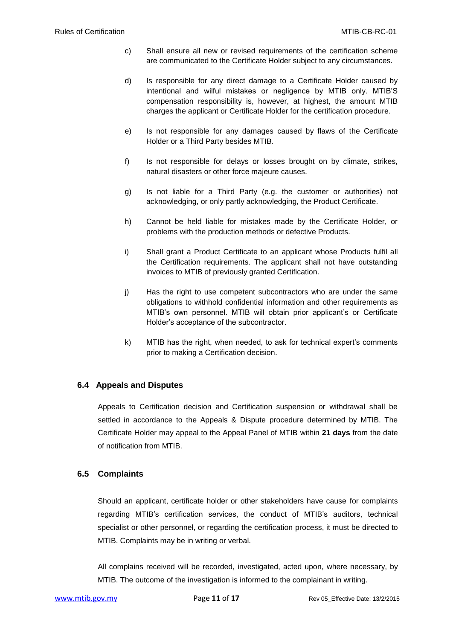- c) Shall ensure all new or revised requirements of the certification scheme are communicated to the Certificate Holder subject to any circumstances.
- d) Is responsible for any direct damage to a Certificate Holder caused by intentional and wilful mistakes or negligence by MTIB only. MTIB'S compensation responsibility is, however, at highest, the amount MTIB charges the applicant or Certificate Holder for the certification procedure.
- e) Is not responsible for any damages caused by flaws of the Certificate Holder or a Third Party besides MTIB.
- f) Is not responsible for delays or losses brought on by climate, strikes, natural disasters or other force majeure causes.
- g) Is not liable for a Third Party (e.g. the customer or authorities) not acknowledging, or only partly acknowledging, the Product Certificate.
- h) Cannot be held liable for mistakes made by the Certificate Holder, or problems with the production methods or defective Products.
- i) Shall grant a Product Certificate to an applicant whose Products fulfil all the Certification requirements. The applicant shall not have outstanding invoices to MTIB of previously granted Certification.
- j) Has the right to use competent subcontractors who are under the same obligations to withhold confidential information and other requirements as MTIB's own personnel. MTIB will obtain prior applicant's or Certificate Holder's acceptance of the subcontractor.
- k) MTIB has the right, when needed, to ask for technical expert's comments prior to making a Certification decision.

#### **6.4 Appeals and Disputes**

Appeals to Certification decision and Certification suspension or withdrawal shall be settled in accordance to the Appeals & Dispute procedure determined by MTIB. The Certificate Holder may appeal to the Appeal Panel of MTIB within **21 days** from the date of notification from MTIB.

#### **6.5 Complaints**

Should an applicant, certificate holder or other stakeholders have cause for complaints regarding MTIB's certification services, the conduct of MTIB's auditors, technical specialist or other personnel, or regarding the certification process, it must be directed to MTIB. Complaints may be in writing or verbal.

All complains received will be recorded, investigated, acted upon, where necessary, by MTIB. The outcome of the investigation is informed to the complainant in writing.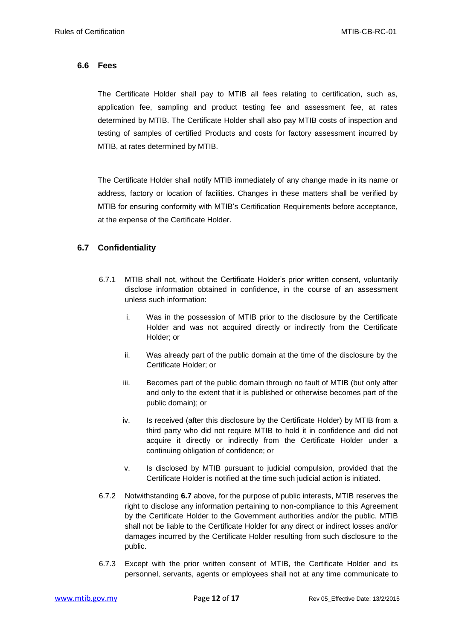#### **6.6 Fees**

The Certificate Holder shall pay to MTIB all fees relating to certification, such as, application fee, sampling and product testing fee and assessment fee, at rates determined by MTIB. The Certificate Holder shall also pay MTIB costs of inspection and testing of samples of certified Products and costs for factory assessment incurred by MTIB, at rates determined by MTIB.

The Certificate Holder shall notify MTIB immediately of any change made in its name or address, factory or location of facilities. Changes in these matters shall be verified by MTIB for ensuring conformity with MTIB's Certification Requirements before acceptance, at the expense of the Certificate Holder.

#### **6.7 Confidentiality**

- 6.7.1 MTIB shall not, without the Certificate Holder's prior written consent, voluntarily disclose information obtained in confidence, in the course of an assessment unless such information:
	- i. Was in the possession of MTIB prior to the disclosure by the Certificate Holder and was not acquired directly or indirectly from the Certificate Holder; or
	- ii. Was already part of the public domain at the time of the disclosure by the Certificate Holder; or
	- iii. Becomes part of the public domain through no fault of MTIB (but only after and only to the extent that it is published or otherwise becomes part of the public domain); or
	- iv. Is received (after this disclosure by the Certificate Holder) by MTIB from a third party who did not require MTIB to hold it in confidence and did not acquire it directly or indirectly from the Certificate Holder under a continuing obligation of confidence; or
	- v. Is disclosed by MTIB pursuant to judicial compulsion, provided that the Certificate Holder is notified at the time such judicial action is initiated.
- 6.7.2 Notwithstanding **6.7** above, for the purpose of public interests, MTIB reserves the right to disclose any information pertaining to non-compliance to this Agreement by the Certificate Holder to the Government authorities and/or the public. MTIB shall not be liable to the Certificate Holder for any direct or indirect losses and/or damages incurred by the Certificate Holder resulting from such disclosure to the public.
- 6.7.3 Except with the prior written consent of MTIB, the Certificate Holder and its personnel, servants, agents or employees shall not at any time communicate to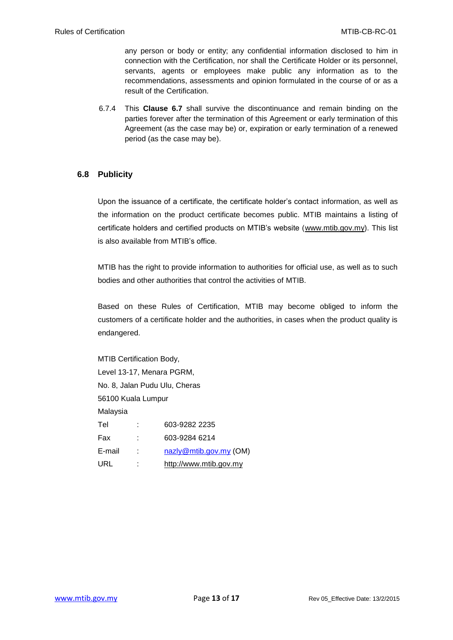any person or body or entity; any confidential information disclosed to him in connection with the Certification, nor shall the Certificate Holder or its personnel, servants, agents or employees make public any information as to the recommendations, assessments and opinion formulated in the course of or as a result of the Certification.

6.7.4 This **Clause 6.7** shall survive the discontinuance and remain binding on the parties forever after the termination of this Agreement or early termination of this Agreement (as the case may be) or, expiration or early termination of a renewed period (as the case may be).

#### **6.8 Publicity**

Upon the issuance of a certificate, the certificate holder's contact information, as well as the information on the product certificate becomes public. MTIB maintains a listing of certificate holders and certified products on MTIB's website [\(www.mtib.gov.my\)](http://www.mtib.gov.my/). This list is also available from MTIB's office.

MTIB has the right to provide information to authorities for official use, as well as to such bodies and other authorities that control the activities of MTIB.

Based on these Rules of Certification, MTIB may become obliged to inform the customers of a certificate holder and the authorities, in cases when the product quality is endangered.

MTIB Certification Body, Level 13-17, Menara PGRM, No. 8, Jalan Pudu Ulu, Cheras 56100 Kuala Lumpur Malaysia Tel : 603-9282 2235 Fax : 603-9284 6214 E-mail : [nazly@mtib.gov.my](mailto:nazly@mtib.gov.my) (OM) URL : [http://www.mtib.gov.my](http://www.mtib.gov.my/)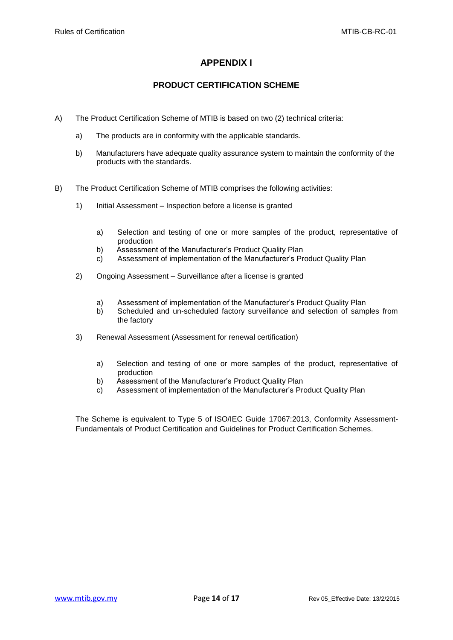#### **APPENDIX I**

#### **PRODUCT CERTIFICATION SCHEME**

- A) The Product Certification Scheme of MTIB is based on two (2) technical criteria:
	- a) The products are in conformity with the applicable standards.
	- b) Manufacturers have adequate quality assurance system to maintain the conformity of the products with the standards.
- B) The Product Certification Scheme of MTIB comprises the following activities:
	- 1) Initial Assessment Inspection before a license is granted
		- a) Selection and testing of one or more samples of the product, representative of production
		- b) Assessment of the Manufacturer's Product Quality Plan
		- c) Assessment of implementation of the Manufacturer's Product Quality Plan
	- 2) Ongoing Assessment Surveillance after a license is granted
		- a) Assessment of implementation of the Manufacturer's Product Quality Plan
		- b) Scheduled and un-scheduled factory surveillance and selection of samples from the factory
	- 3) Renewal Assessment (Assessment for renewal certification)
		- a) Selection and testing of one or more samples of the product, representative of production
		- b) Assessment of the Manufacturer's Product Quality Plan
		- c) Assessment of implementation of the Manufacturer's Product Quality Plan

The Scheme is equivalent to Type 5 of ISO/IEC Guide 17067:2013, Conformity Assessment-Fundamentals of Product Certification and Guidelines for Product Certification Schemes.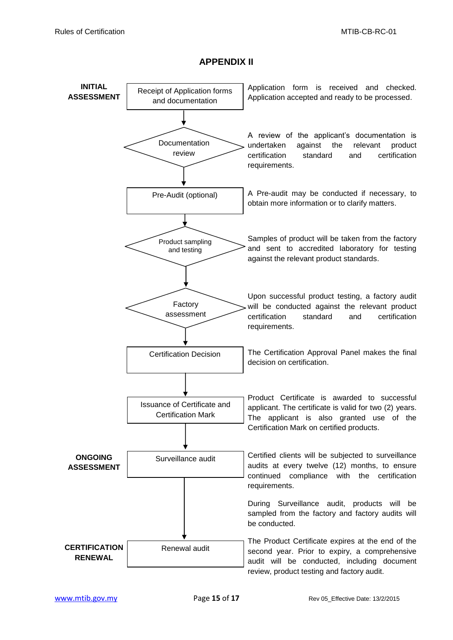#### **APPENDIX II**

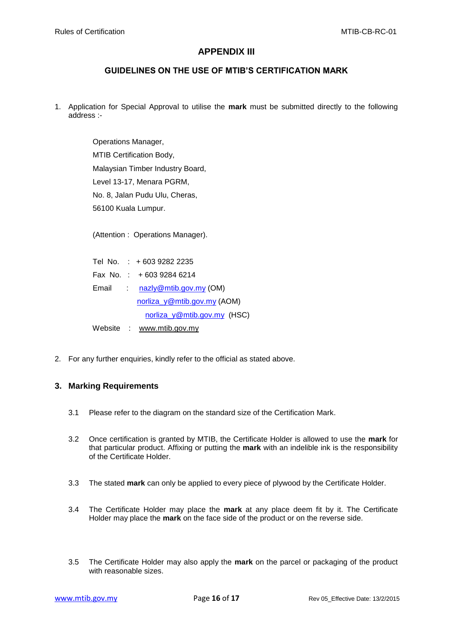#### **APPENDIX III**

#### **GUIDELINES ON THE USE OF MTIB'S CERTIFICATION MARK**

1. Application for Special Approval to utilise the **mark** must be submitted directly to the following address :-

> Operations Manager, MTIB Certification Body, Malaysian Timber Industry Board, Level 13-17, Menara PGRM, No. 8, Jalan Pudu Ulu, Cheras, 56100 Kuala Lumpur.

> (Attention : Operations Manager).

|  | Tel No. : +603 9282 2235       |
|--|--------------------------------|
|  | Fax No.: +603 9284 6214        |
|  | Email : nazly@mtib.gov.my (OM) |
|  | norliza_y@mtib.gov.my (AOM)    |
|  | norliza_y@mtib.gov.my (HSC)    |
|  | Website : www.mtib.gov.my      |

2. For any further enquiries, kindly refer to the official as stated above.

#### **3. Marking Requirements**

- 3.1 Please refer to the diagram on the standard size of the Certification Mark.
- 3.2 Once certification is granted by MTIB, the Certificate Holder is allowed to use the **mark** for that particular product. Affixing or putting the **mark** with an indelible ink is the responsibility of the Certificate Holder.
- 3.3 The stated **mark** can only be applied to every piece of plywood by the Certificate Holder.
- 3.4 The Certificate Holder may place the **mark** at any place deem fit by it. The Certificate Holder may place the **mark** on the face side of the product or on the reverse side.
- 3.5 The Certificate Holder may also apply the **mark** on the parcel or packaging of the product with reasonable sizes.